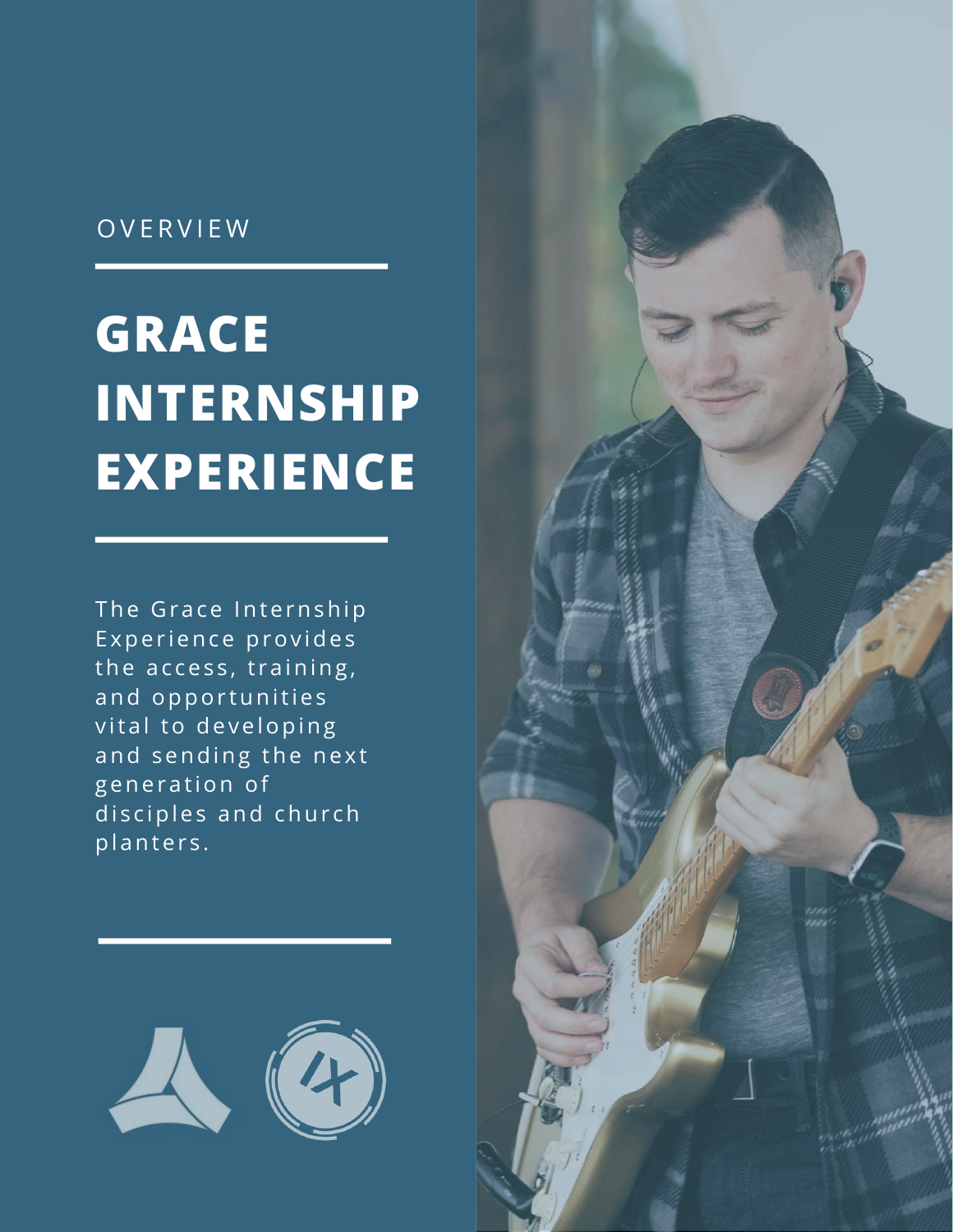## OVERVIEW

# **GRACE INTERNSHIP** EXPERIENCE

The Grace Internship Experience provides the access, training, and opportunities vital to developing and sending the next generation of disciples and church planters.



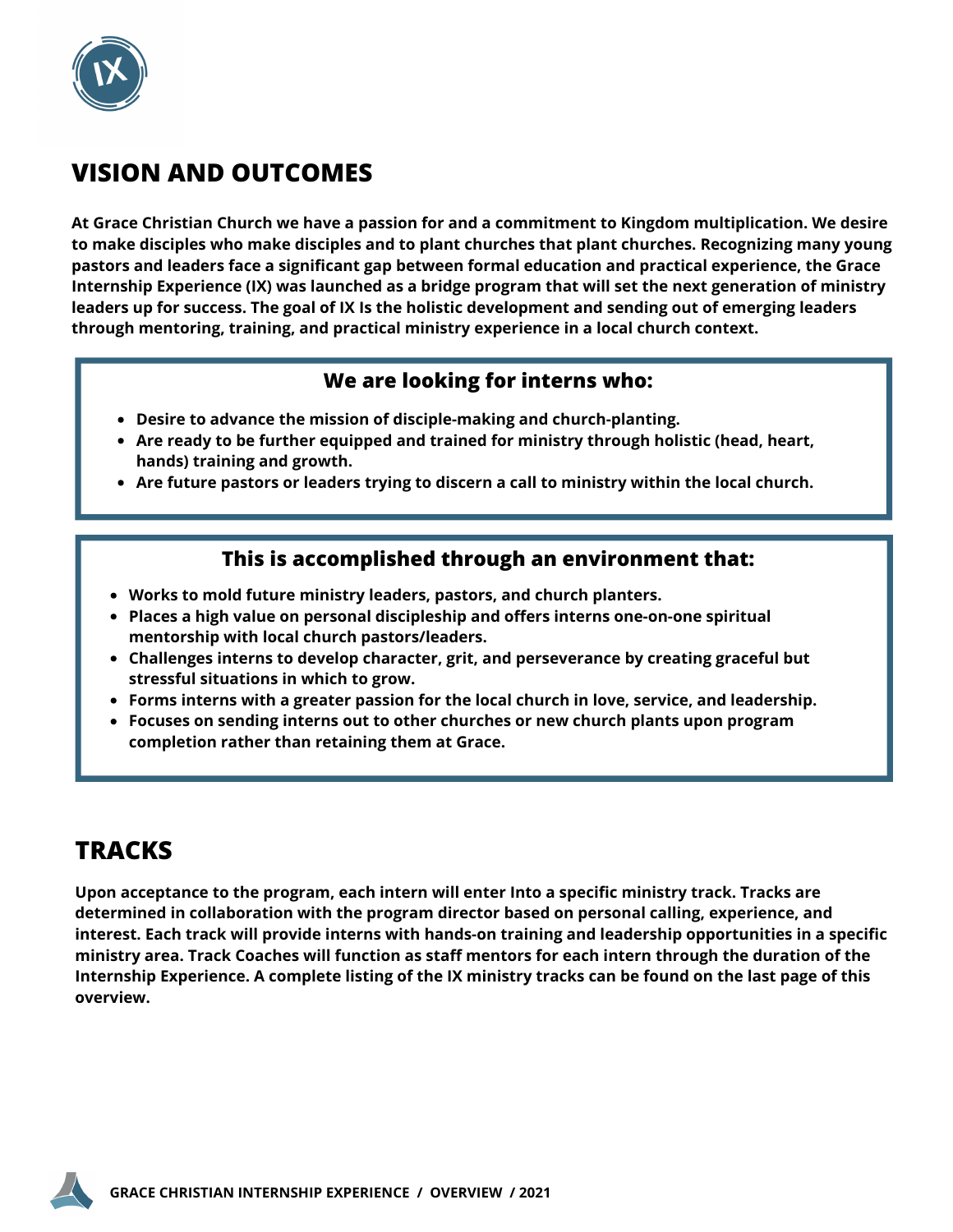

## **VISION AND OUTCOMES**

**At Grace Christian Church we have a passion for and a commitment to Kingdom multiplication. We desire to make disciples who make disciples and to plant churches that plant churches. Recognizing many young pastors and leaders face a significant gap between formal education and practical experience, the Grace Internship Experience (IX) was launched as a bridge program that will set the next generation of ministry** leaders up for success. The goal of IX Is the holistic development and sending out of emerging leaders **through mentoring, training, and practical ministry experience in a local church context.**

#### **We are looking for interns who:**

- **Desire to advance the mission of disciple-making and church-planting.**
- **Are ready to be further equipped and trained for ministry through holistic (head, heart, hands) training and growth.**
- **Are future pastors or leaders trying to discern a call to ministry within the local church.**

### **This is accomplished through an environment that:**

- **Works to mold future ministry leaders, pastors, and church planters.**
- **Places a high value on personal discipleship and offers interns one-on-one spiritual mentorship with local church pastors/leaders.**
- **Challenges interns to develop character, grit, and perseverance by creating graceful but stressful situations in which to grow.**
- **Forms interns with a greater passion for the local church in love, service, and leadership.**
- **Focuses on sending interns out to other churches or new church plants upon program completion rather than retaining them at Grace.**

## **TRACKS**

**Upon acceptance to the program, each intern will enter Into a specific ministry track. Tracks are determined in collaboration with the program director based on personal calling, experience, and interest. Each track will provide interns with hands-on training and leadership opportunities in a specific ministry area. Track Coaches will function as staff mentors for each intern through the duration of the** Internship Experience. A complete listing of the IX ministry tracks can be found on the last page of this **overview.**

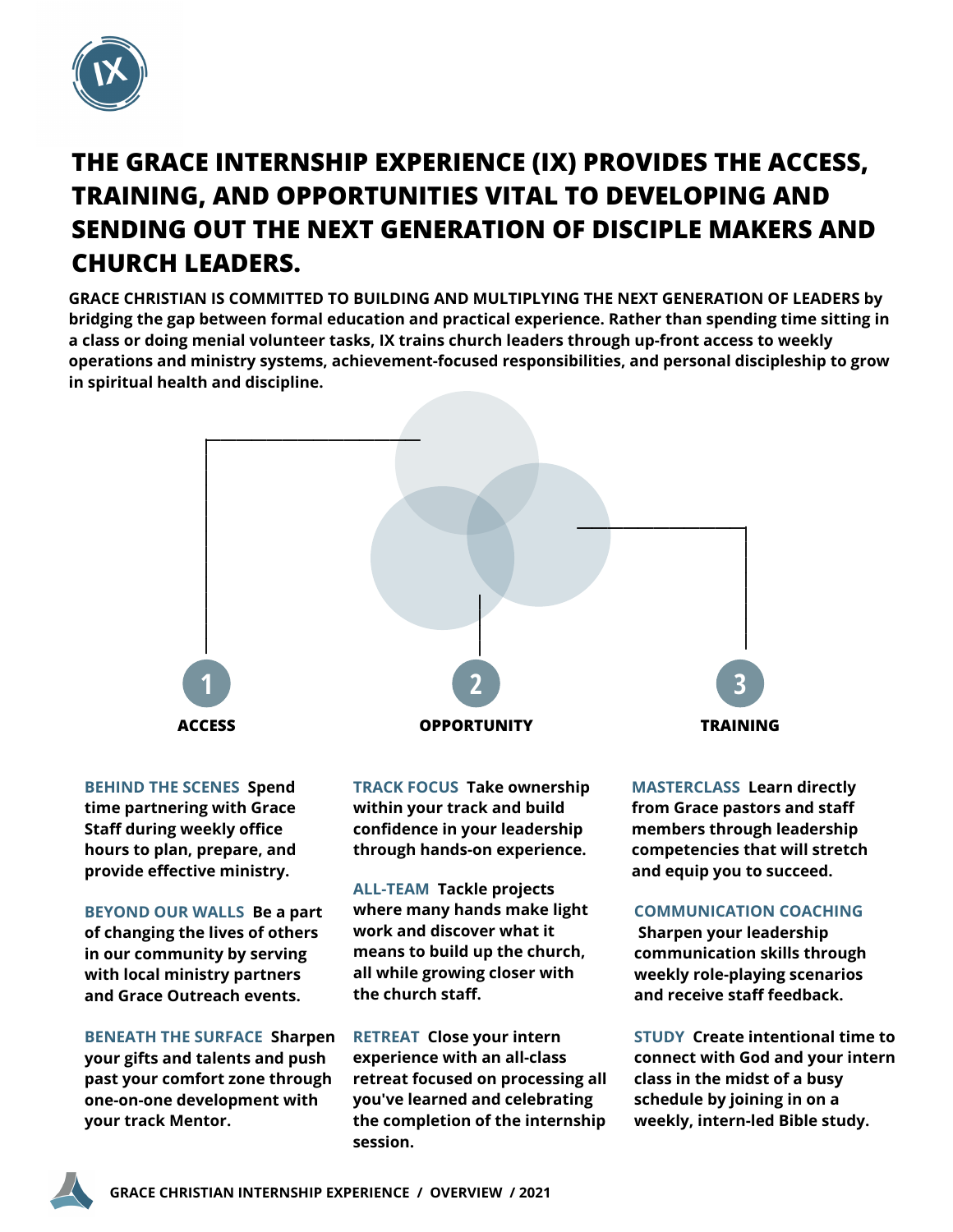

# **THE GRACE INTERNSHIP EXPERIENCE (IX) PROVIDES THE ACCESS, TRAINING, AND OPPORTUNITIES VITAL TO DEVELOPING AND SENDING OUT THE NEXT GENERATION OF DISCIPLE MAKERS AND CHURCH LEADERS.**

**GRACE CHRISTIAN IS COMMITTED TO BUILDING AND MULTIPLYING THE NEXT GENERATION OF LEADERS by bridging the gap between formal education and practical experience. Rather than spending time sitting in a class or doing menial volunteer tasks, IX trains church leaders through up-front access to weekly operations and ministry systems, achievement-focused responsibilities, and personal discipleship to grow in spiritual health and discipline.**



**BEHIND THE SCENES Spend time partnering with Grace Staff during weekly office hours to plan, prepare, and provide effective ministry.**

**BEYOND OUR WALLS Be a part of changing the lives of others in our community by serving with local ministry partners and Grace Outreach events.**

**BENEATH THE SURFACE Sharpen your gifts and talents and push past your comfort zone through one-on-one development with your track Mentor.**

**TRACK FOCUS Take ownership within your track and build confidence in your leadership through hands-on experience.**

**ALL-TEAM Tackle projects where many hands make light work and discover what it means to build up the church, all while growing closer with the church staff.**

**RETREAT Close your intern experience with an all-class retreat focused on processing all you've learned and celebrating the completion of the internship session.**

**MASTERCLASS Learn directly from Grace pastors and staff members through leadership competencies that will stretch and equip you to succeed.**

#### **COMMUNICATION COACHING**

**Sharpen your leadership communication skills through weekly role-playing scenarios and receive staff feedback.**

**STUDY Create intentional time to connect with God and your intern class in the midst of a busy schedule by joining in on a weekly, intern-led Bible study.**

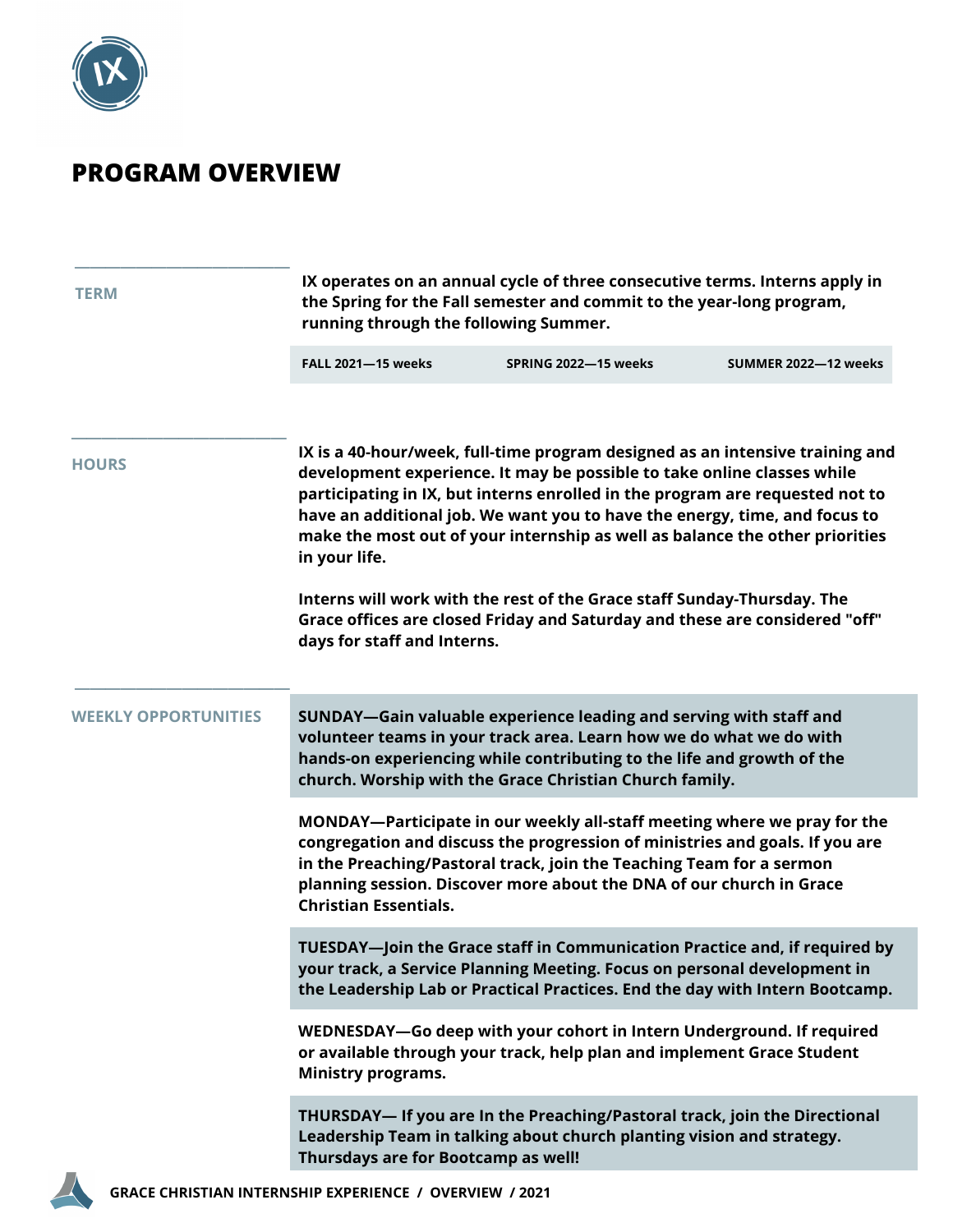

## **PROGRAM OVERVIEW**

| <b>TERM</b>                 | IX operates on an annual cycle of three consecutive terms. Interns apply in<br>the Spring for the Fall semester and commit to the year-long program,<br>running through the following Summer.                                                                                                                                                                                                                                                                                                                                                                                                                     |                      |                      |  |
|-----------------------------|-------------------------------------------------------------------------------------------------------------------------------------------------------------------------------------------------------------------------------------------------------------------------------------------------------------------------------------------------------------------------------------------------------------------------------------------------------------------------------------------------------------------------------------------------------------------------------------------------------------------|----------------------|----------------------|--|
|                             | <b>FALL 2021-15 weeks</b>                                                                                                                                                                                                                                                                                                                                                                                                                                                                                                                                                                                         | SPRING 2022-15 weeks | SUMMER 2022-12 weeks |  |
| <b>HOURS</b>                | IX is a 40-hour/week, full-time program designed as an intensive training and<br>development experience. It may be possible to take online classes while<br>participating in IX, but interns enrolled in the program are requested not to<br>have an additional job. We want you to have the energy, time, and focus to<br>make the most out of your internship as well as balance the other priorities<br>in your life.<br>Interns will work with the rest of the Grace staff Sunday-Thursday. The<br>Grace offices are closed Friday and Saturday and these are considered "off"<br>days for staff and Interns. |                      |                      |  |
| <b>WEEKLY OPPORTUNITIES</b> | SUNDAY-Gain valuable experience leading and serving with staff and<br>volunteer teams in your track area. Learn how we do what we do with<br>hands-on experiencing while contributing to the life and growth of the<br>church. Worship with the Grace Christian Church family.                                                                                                                                                                                                                                                                                                                                    |                      |                      |  |
|                             | MONDAY-Participate in our weekly all-staff meeting where we pray for the<br>congregation and discuss the progression of ministries and goals. If you are<br>in the Preaching/Pastoral track, join the Teaching Team for a sermon<br>planning session. Discover more about the DNA of our church in Grace<br><b>Christian Essentials.</b>                                                                                                                                                                                                                                                                          |                      |                      |  |
|                             | TUESDAY-Join the Grace staff in Communication Practice and, if required by<br>your track, a Service Planning Meeting. Focus on personal development in<br>the Leadership Lab or Practical Practices. End the day with Intern Bootcamp.                                                                                                                                                                                                                                                                                                                                                                            |                      |                      |  |
|                             | WEDNESDAY-Go deep with your cohort in Intern Underground. If required<br>or available through your track, help plan and implement Grace Student<br><b>Ministry programs.</b>                                                                                                                                                                                                                                                                                                                                                                                                                                      |                      |                      |  |
|                             | THURSDAY— If you are In the Preaching/Pastoral track, join the Directional<br>Leadership Team in talking about church planting vision and strategy.<br>Thursdays are for Bootcamp as well!                                                                                                                                                                                                                                                                                                                                                                                                                        |                      |                      |  |
|                             |                                                                                                                                                                                                                                                                                                                                                                                                                                                                                                                                                                                                                   |                      |                      |  |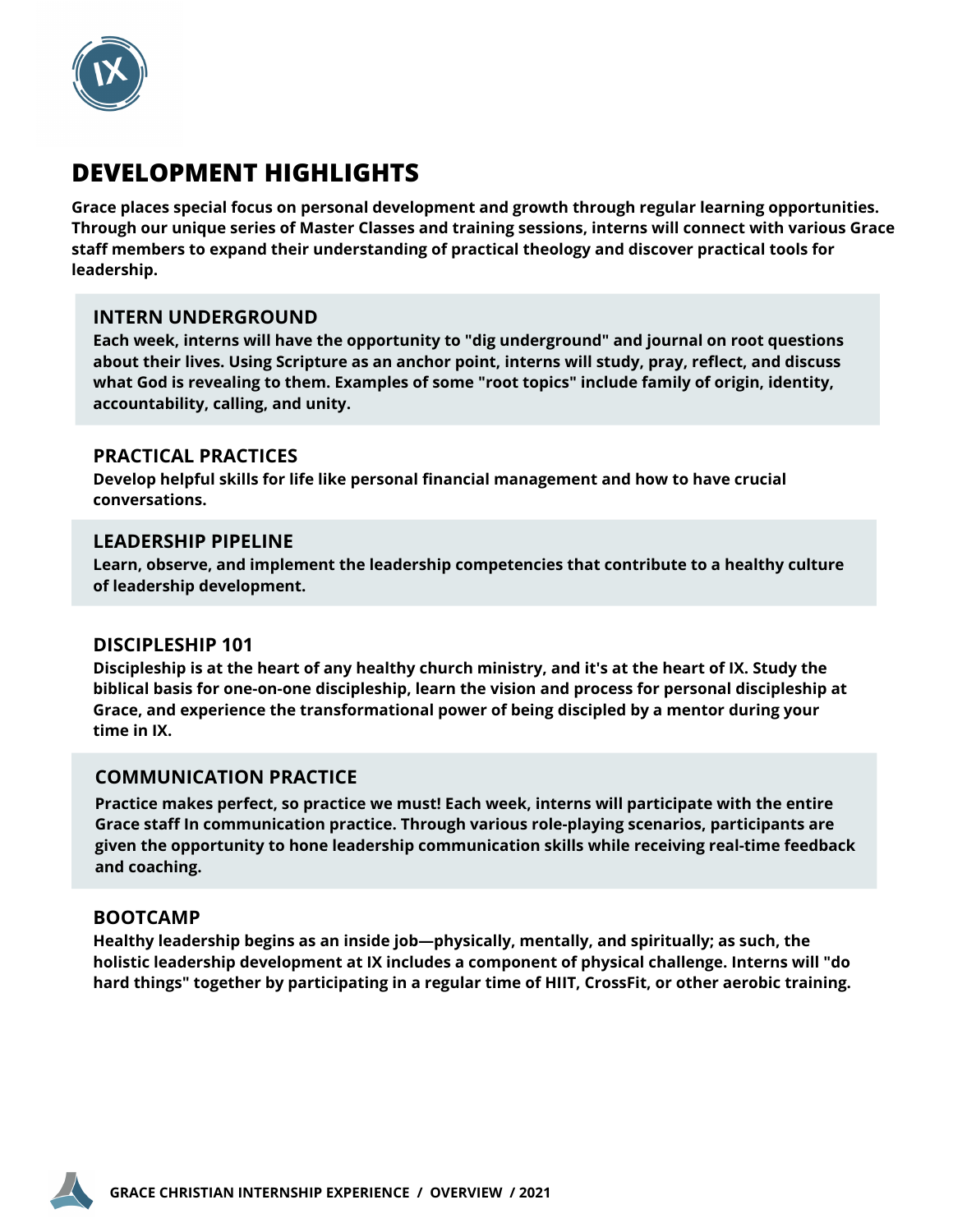

## **DEVELOPMENT HIGHLIGHTS**

**Grace places special focus on personal development and growth through regular learning opportunities. Through our unique series of Master Classes and training sessions, interns will connect with various Grace staff members to expand their understanding of practical theology and discover practical tools for leadership.**

#### **INTERN UNDERGROUND**

**Each week, interns will have the opportunity to "dig underground" and journal on root questions about their lives. Using Scripture as an anchor point, interns will study, pray, reflect, and discuss what God is revealing to them. Examples of some "root topics" include family of origin, identity, accountability, calling, and unity.**

#### **PRACTICAL PRACTICES**

**Develop helpful skills for life like personal financial management and how to have crucial conversations.**

#### **LEADERSHIP PIPELINE**

**Learn, observe, and implement the leadership competencies that contribute to a healthy culture of leadership development.**

#### **DISCIPLESHIP 101**

Discipleship is at the heart of any healthy church ministry, and it's at the heart of IX. Study the **biblical basis for one-on-one discipleship, learn the vision and process for personal discipleship at Grace, and experience the transformational power of being discipled by a mentor during your time in IX.**

#### **COMMUNICATION PRACTICE**

**Practice makes perfect, so practice we must! Each week, interns will participate with the entire Grace staff In communication practice. Through various role-playing scenarios, participants are given the opportunity to hone leadership communication skills while receiving real-time feedback and coaching.**

#### **BOOTCAMP**

**Healthy leadership begins as an inside job—physically, mentally, and spiritually; as such, the holistic leadership development at IX includes a component of physical challenge. Interns will "do hard things" together by participating in a regular time of HIIT, CrossFit, or other aerobic training.**